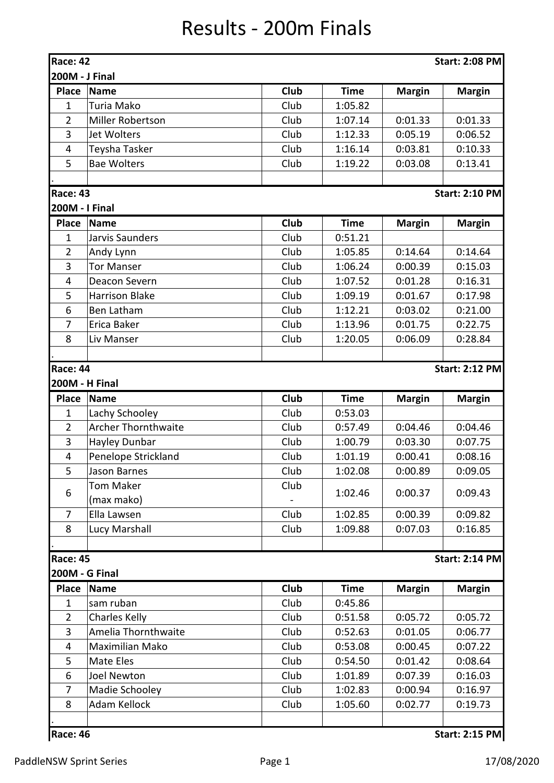## Results - 200m Finals

| <b>Race: 42</b>         |                            |      |             |               | <b>Start: 2:08 PM</b> |
|-------------------------|----------------------------|------|-------------|---------------|-----------------------|
| 200M - J Final          |                            |      |             |               |                       |
| <b>Place</b>            | <b>Name</b>                | Club | <b>Time</b> | <b>Margin</b> | <b>Margin</b>         |
| $\mathbf{1}$            | Turia Mako                 | Club | 1:05.82     |               |                       |
| $\overline{2}$          | Miller Robertson           | Club | 1:07.14     | 0:01.33       | 0:01.33               |
| 3                       | Jet Wolters                | Club | 1:12.33     | 0:05.19       | 0:06.52               |
| $\overline{\mathbf{4}}$ | Teysha Tasker              | Club | 1:16.14     | 0:03.81       | 0:10.33               |
| 5                       | <b>Bae Wolters</b>         | Club | 1:19.22     | 0:03.08       | 0:13.41               |
| <b>Race: 43</b>         |                            |      |             |               | <b>Start: 2:10 PM</b> |
| 200M - I Final          |                            |      |             |               |                       |
| <b>Place</b>            | <b>Name</b>                | Club | <b>Time</b> | <b>Margin</b> | <b>Margin</b>         |
| $\mathbf{1}$            | Jarvis Saunders            | Club | 0:51.21     |               |                       |
| $\overline{2}$          | Andy Lynn                  | Club | 1:05.85     | 0:14.64       | 0:14.64               |
| 3                       | <b>Tor Manser</b>          | Club | 1:06.24     | 0:00.39       | 0:15.03               |
| 4                       | Deacon Severn              | Club | 1:07.52     | 0:01.28       | 0:16.31               |
| 5                       | <b>Harrison Blake</b>      | Club | 1:09.19     | 0:01.67       | 0:17.98               |
| 6                       | Ben Latham                 | Club | 1:12.21     | 0:03.02       | 0:21.00               |
| 7                       | Erica Baker                | Club | 1:13.96     | 0:01.75       | 0:22.75               |
| 8                       | Liv Manser                 | Club | 1:20.05     | 0:06.09       | 0:28.84               |
|                         |                            |      |             |               |                       |
| <b>Race: 44</b>         |                            |      |             |               | <b>Start: 2:12 PM</b> |
|                         | 200M - H Final             |      |             |               |                       |
| <b>Place</b>            | <b>Name</b>                | Club | <b>Time</b> | <b>Margin</b> | <b>Margin</b>         |
| $\mathbf 1$             | Lachy Schooley             | Club | 0:53.03     |               |                       |
| $\overline{2}$          | <b>Archer Thornthwaite</b> | Club | 0:57.49     | 0:04.46       | 0:04.46               |
| 3                       | Hayley Dunbar              | Club | 1:00.79     | 0:03.30       | 0:07.75               |
| 4                       | Penelope Strickland        | Club | 1:01.19     | 0:00.41       | 0:08.16               |
| 5                       | Jason Barnes               | Club | 1:02.08     | 0:00.89       | 0:09.05               |
|                         | <b>Tom Maker</b>           | Club |             |               |                       |
| 6                       | (max mako)                 |      | 1:02.46     | 0:00.37       | 0:09.43               |
| 7                       | Ella Lawsen                | Club | 1:02.85     | 0:00.39       | 0:09.82               |
| 8                       | Lucy Marshall              | Club | 1:09.88     | 0:07.03       | 0:16.85               |
|                         |                            |      |             |               |                       |
| <b>Race: 45</b>         |                            |      |             |               | <b>Start: 2:14 PM</b> |
|                         | <b>200M - G Final</b>      |      |             |               |                       |
| <b>Place</b>            | <b>Name</b>                | Club | <b>Time</b> | <b>Margin</b> | <b>Margin</b>         |
| $\mathbf{1}$            | sam ruban                  | Club | 0:45.86     |               |                       |
| $\overline{2}$          | <b>Charles Kelly</b>       | Club | 0:51.58     | 0:05.72       | 0:05.72               |
| 3                       | Amelia Thornthwaite        | Club | 0:52.63     | 0:01.05       | 0:06.77               |
| 4                       | Maximilian Mako            | Club | 0:53.08     | 0:00.45       | 0:07.22               |
| 5                       | Mate Eles                  | Club | 0:54.50     | 0:01.42       | 0:08.64               |
| 6                       | <b>Joel Newton</b>         | Club | 1:01.89     | 0:07.39       | 0:16.03               |
| $\overline{7}$          | Madie Schooley             | Club | 1:02.83     | 0:00.94       | 0:16.97               |
| 8                       | Adam Kellock               | Club | 1:05.60     | 0:02.77       | 0:19.73               |
|                         |                            |      |             |               |                       |
| Race: 46                |                            |      |             |               | <b>Start: 2:15 PM</b> |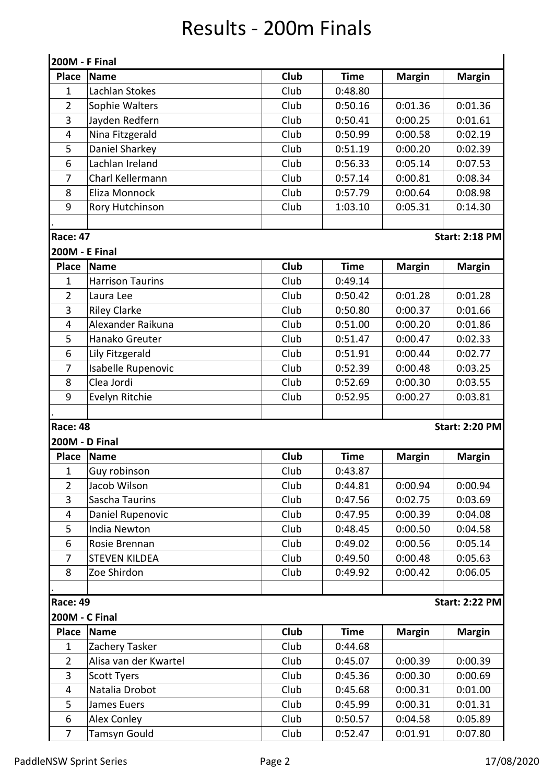## Results - 200m Finals

| 200M - F Final        |                         |             |             |               |                       |  |  |
|-----------------------|-------------------------|-------------|-------------|---------------|-----------------------|--|--|
| <b>Place</b>          | <b>Name</b>             | <b>Club</b> | <b>Time</b> | <b>Margin</b> | <b>Margin</b>         |  |  |
| $\mathbf{1}$          | Lachlan Stokes          | Club        | 0:48.80     |               |                       |  |  |
| $\overline{2}$        | Sophie Walters          | Club        | 0:50.16     | 0:01.36       | 0:01.36               |  |  |
| 3                     | Jayden Redfern          | Club        | 0:50.41     | 0:00.25       | 0:01.61               |  |  |
| 4                     | Nina Fitzgerald         | Club        | 0:50.99     | 0:00.58       | 0:02.19               |  |  |
| 5                     | Daniel Sharkey          | Club        | 0:51.19     | 0:00.20       | 0:02.39               |  |  |
| 6                     | Lachlan Ireland         | Club        | 0:56.33     | 0:05.14       | 0:07.53               |  |  |
| 7                     | Charl Kellermann        | Club        | 0:57.14     | 0:00.81       | 0:08.34               |  |  |
| 8                     | Eliza Monnock           | Club        | 0:57.79     | 0:00.64       | 0:08.98               |  |  |
| 9                     | Rory Hutchinson         | Club        | 1:03.10     | 0:05.31       | 0:14.30               |  |  |
|                       |                         |             |             |               |                       |  |  |
| <b>Race: 47</b>       |                         |             |             |               | <b>Start: 2:18 PM</b> |  |  |
| <b>200M - E Final</b> |                         |             |             |               |                       |  |  |
| <b>Place</b>          | <b>Name</b>             | Club        | <b>Time</b> | <b>Margin</b> | <b>Margin</b>         |  |  |
| $\mathbf{1}$          | <b>Harrison Taurins</b> | Club        | 0:49.14     |               |                       |  |  |
| $\overline{2}$        | Laura Lee               | Club        | 0:50.42     | 0:01.28       | 0:01.28               |  |  |
| 3                     | <b>Riley Clarke</b>     | Club        | 0:50.80     | 0:00.37       | 0:01.66               |  |  |
| 4                     | Alexander Raikuna       | Club        | 0:51.00     | 0:00.20       | 0:01.86               |  |  |
| 5                     | Hanako Greuter          | Club        | 0:51.47     | 0:00.47       | 0:02.33               |  |  |
| 6                     | Lily Fitzgerald         | Club        | 0:51.91     | 0:00.44       | 0:02.77               |  |  |
| 7                     | Isabelle Rupenovic      | Club        | 0:52.39     | 0:00.48       | 0:03.25               |  |  |
| 8                     | Clea Jordi              | Club        | 0:52.69     | 0:00.30       | 0:03.55               |  |  |
| 9                     | Evelyn Ritchie          | Club        | 0:52.95     | 0:00.27       | 0:03.81               |  |  |
|                       |                         |             |             |               |                       |  |  |
| <b>Race: 48</b>       |                         |             |             |               | <b>Start: 2:20 PM</b> |  |  |
| 200M - D Final        |                         |             |             |               |                       |  |  |
| <b>Place</b>          | <b>Name</b>             | <b>Club</b> | <b>Time</b> | <b>Margin</b> | <b>Margin</b>         |  |  |
| $\mathbf{1}$          | Guy robinson            | Club        | 0:43.87     |               |                       |  |  |
| $\overline{2}$        | Jacob Wilson            | Club        | 0:44.81     | 0:00.94       | 0:00.94               |  |  |
| $\overline{3}$        | Sascha Taurins          | Club        | 0:47.56     | 0:02.75       | 0:03.69               |  |  |
| $\overline{4}$        | Daniel Rupenovic        | Club        | 0:47.95     | 0:00.39       | 0:04.08               |  |  |
| 5                     | India Newton            | Club        | 0:48.45     | 0:00.50       | 0:04.58               |  |  |
| 6                     | Rosie Brennan           | Club        | 0:49.02     | 0:00.56       | 0:05.14               |  |  |
| 7                     | <b>STEVEN KILDEA</b>    | Club        | 0:49.50     | 0:00.48       | 0:05.63               |  |  |
| 8                     | Zoe Shirdon             | Club        | 0:49.92     | 0:00.42       | 0:06.05               |  |  |
|                       |                         |             |             |               |                       |  |  |
| <b>Race: 49</b>       |                         |             |             |               | <b>Start: 2:22 PM</b> |  |  |
| 200M - C Final        |                         |             |             |               |                       |  |  |
| <b>Place</b>          | Name                    | Club        | <b>Time</b> | <b>Margin</b> | <b>Margin</b>         |  |  |
| $\mathbf{1}$          | Zachery Tasker          | Club        | 0:44.68     |               |                       |  |  |
| $\overline{2}$        | Alisa van der Kwartel   | Club        | 0:45.07     | 0:00.39       | 0:00.39               |  |  |
| 3                     | <b>Scott Tyers</b>      | Club        | 0:45.36     | 0:00.30       | 0:00.69               |  |  |
| $\overline{4}$        | Natalia Drobot          | Club        | 0:45.68     | 0:00.31       | 0:01.00               |  |  |
| 5                     | James Euers             | Club        | 0:45.99     | 0:00.31       | 0:01.31               |  |  |
| 6                     | Alex Conley             | Club        | 0:50.57     | 0:04.58       | 0:05.89               |  |  |
| $\overline{7}$        | <b>Tamsyn Gould</b>     | Club        | 0:52.47     | 0:01.91       | 0:07.80               |  |  |